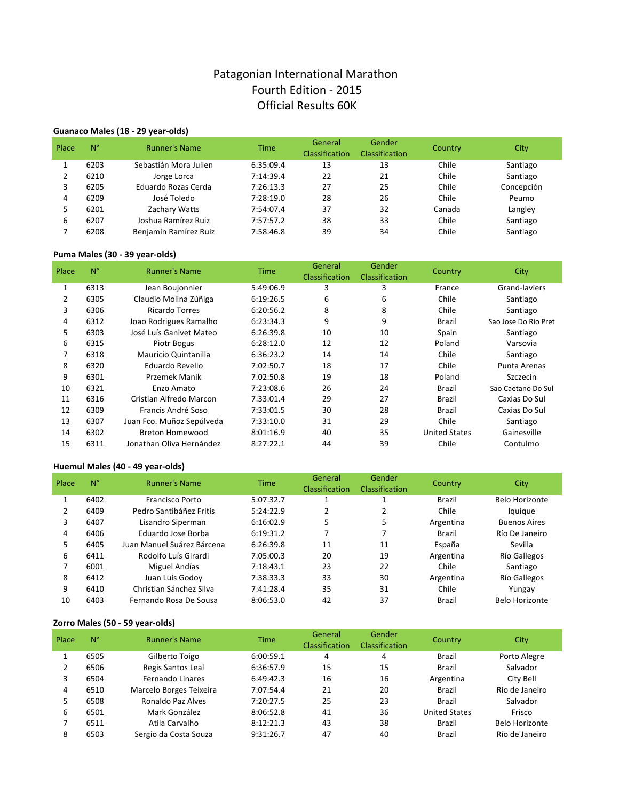# Patagonian International Marathon Fourth Edition - 2015 Official Results 60K

# Guanaco Males (18 - 29 year-olds)

| Place | $N^{\circ}$ | <b>Runner's Name</b>  | <b>Time</b> | General<br><b>Classification</b> | Gender<br><b>Classification</b> | Country | City       |
|-------|-------------|-----------------------|-------------|----------------------------------|---------------------------------|---------|------------|
|       | 6203        | Sebastián Mora Julien | 6:35:09.4   | 13                               | 13                              | Chile   | Santiago   |
|       | 6210        | Jorge Lorca           | 7:14:39.4   | 22                               | 21                              | Chile   | Santiago   |
| 3     | 6205        | Eduardo Rozas Cerda   | 7:26:13.3   | 27                               | 25                              | Chile   | Concepción |
| 4     | 6209        | José Toledo           | 7:28:19.0   | 28                               | 26                              | Chile   | Peumo      |
| 5     | 6201        | Zachary Watts         | 7:54:07.4   | 37                               | 32                              | Canada  | Langley    |
| 6     | 6207        | Joshua Ramírez Ruiz   | 7:57:57.2   | 38                               | 33                              | Chile   | Santiago   |
|       | 6208        | Benjamín Ramírez Ruiz | 7:58:46.8   | 39                               | 34                              | Chile   | Santiago   |

### Puma Males (30 - 39 year-olds)

| Place        | $N^{\circ}$ | <b>Runner's Name</b>      | <b>Time</b> | General<br>Classification | Gender<br><b>Classification</b> | Country              | City                 |
|--------------|-------------|---------------------------|-------------|---------------------------|---------------------------------|----------------------|----------------------|
| $\mathbf{1}$ | 6313        | Jean Boujonnier           | 5:49:06.9   | 3                         | 3                               | France               | Grand-laviers        |
| 2            | 6305        | Claudio Molina Zúñiga     | 6:19:26.5   | 6                         | 6                               | Chile                | Santiago             |
| 3            | 6306        | <b>Ricardo Torres</b>     | 6:20:56.2   | 8                         | 8                               | Chile                | Santiago             |
| 4            | 6312        | Joao Rodrigues Ramalho    | 6:23:34.3   | 9                         | 9                               | Brazil               | Sao Jose Do Rio Pret |
| 5            | 6303        | José Luís Ganivet Mateo   | 6:26:39.8   | 10                        | 10                              | Spain                | Santiago             |
| 6            | 6315        | Piotr Bogus               | 6:28:12.0   | 12                        | 12                              | Poland               | Varsovia             |
| 7            | 6318        | Mauricio Quintanilla      | 6:36:23.2   | 14                        | 14                              | Chile                | Santiago             |
| 8            | 6320        | Eduardo Revello           | 7:02:50.7   | 18                        | 17                              | Chile                | Punta Arenas         |
| 9            | 6301        | <b>Przemek Manik</b>      | 7:02:50.8   | 19                        | 18                              | Poland               | Szczecin             |
| 10           | 6321        | Enzo Amato                | 7:23:08.6   | 26                        | 24                              | Brazil               | Sao Caetano Do Sul   |
| 11           | 6316        | Cristian Alfredo Marcon   | 7:33:01.4   | 29                        | 27                              | Brazil               | Caxias Do Sul        |
| 12           | 6309        | Francis André Soso        | 7:33:01.5   | 30                        | 28                              | Brazil               | Caxias Do Sul        |
| 13           | 6307        | Juan Fco. Muñoz Sepúlveda | 7:33:10.0   | 31                        | 29                              | Chile                | Santiago             |
| 14           | 6302        | <b>Breton Homewood</b>    | 8:01:16.9   | 40                        | 35                              | <b>United States</b> | Gainesville          |
| 15           | 6311        | Jonathan Oliva Hernández  | 8:27:22.1   | 44                        | 39                              | Chile                | Contulmo             |

### **Huemul Males (40 - 49 year-olds)**

| $N^{\circ}$ | <b>Runner's Name</b>         | <b>Time</b>                                                                                  | General                                          | Gender                             | Country                    | <b>City</b>                                   |
|-------------|------------------------------|----------------------------------------------------------------------------------------------|--------------------------------------------------|------------------------------------|----------------------------|-----------------------------------------------|
|             |                              |                                                                                              |                                                  | 1                                  |                            | Belo Horizonte                                |
|             |                              |                                                                                              |                                                  |                                    |                            | lquique                                       |
|             |                              |                                                                                              |                                                  |                                    |                            |                                               |
|             |                              |                                                                                              |                                                  |                                    |                            | <b>Buenos Aires</b>                           |
|             |                              |                                                                                              |                                                  |                                    |                            | Río De Janeiro                                |
| 6405        | Juan Manuel Suárez Bárcena   | 6:26:39.8                                                                                    | 11                                               | 11                                 | España                     | Sevilla                                       |
| 6411        | Rodolfo Luís Girardi         | 7:05:00.3                                                                                    | 20                                               | 19                                 | Argentina                  | Río Gallegos                                  |
| 6001        | Miguel Andías                | 7:18:43.1                                                                                    | 23                                               | 22                                 | Chile                      | Santiago                                      |
| 6412        | Juan Luís Godov              | 7:38:33.3                                                                                    | 33                                               | 30                                 | Argentina                  | Río Gallegos                                  |
| 6410        | Christian Sánchez Silva      | 7:41:28.4                                                                                    | 35                                               | 31                                 | Chile                      | Yungay                                        |
| 6403        | Fernando Rosa De Sousa       | 8:06:53.0                                                                                    | 42                                               | 37                                 | Brazil                     | Belo Horizonte                                |
|             | 6402<br>6409<br>6407<br>6406 | <b>Francisco Porto</b><br>Pedro Santibáñez Fritis<br>Lisandro Siperman<br>Eduardo Jose Borba | 5:07:32.7<br>5:24:22.9<br>6:16:02.9<br>6:19:31.2 | Classification<br>1<br>2<br>5<br>7 | <b>Classification</b><br>5 | <b>Brazil</b><br>Chile<br>Argentina<br>Brazil |

### Zorro Males (50 - 59 year-olds)

| Place | $N^{\circ}$ | <b>Runner's Name</b>    | <b>Time</b> | General<br>Classification | Gender<br><b>Classification</b> | Country              | City                  |
|-------|-------------|-------------------------|-------------|---------------------------|---------------------------------|----------------------|-----------------------|
|       | 6505        | Gilberto Toigo          | 6:00:59.1   | 4                         | 4                               | <b>Brazil</b>        | Porto Alegre          |
|       | 6506        | Regis Santos Leal       | 6:36:57.9   | 15                        | 15                              | <b>Brazil</b>        | Salvador              |
| 3     | 6504        | Fernando Linares        | 6:49:42.3   | 16                        | 16                              | Argentina            | City Bell             |
| 4     | 6510        | Marcelo Borges Teixeira | 7:07:54.4   | 21                        | 20                              | <b>Brazil</b>        | Río de Janeiro        |
| 5     | 6508        | Ronaldo Paz Alves       | 7:20:27.5   | 25                        | 23                              | <b>Brazil</b>        | Salvador              |
| 6     | 6501        | Mark González           | 8:06:52.8   | 41                        | 36                              | <b>United States</b> | Frisco                |
|       | 6511        | Atila Carvalho          | 8:12:21.3   | 43                        | 38                              | Brazil               | <b>Belo Horizonte</b> |
| 8     | 6503        | Sergio da Costa Souza   | 9:31:26.7   | 47                        | 40                              | <b>Brazil</b>        | Río de Janeiro        |